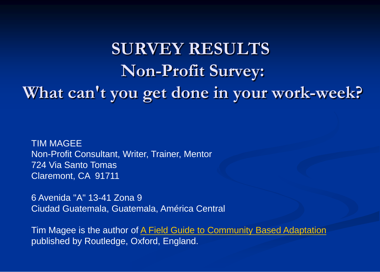# **SURVEY RESULTS Non-Profit Survey: What can't you get done in your work-week?**

TIM MAGEE Non-Profit Consultant, Writer, Trainer, Mentor 724 Via Santo Tomas Claremont, CA 91711

6 Avenida "A" 13-41 Zona 9 Ciudad Guatemala, Guatemala, América Central

Tim Magee is the author of [A Field Guide to Community Based Adaptation](http://www.csd-i.org/csdi-blog/2013/1/9/book-launch-field-guide-to-community-based-adaptation.html) published by Routledge, Oxford, England.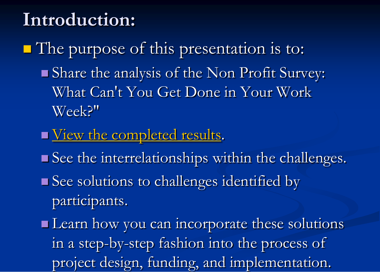## **Introduction:**

The purpose of this presentation is to: Share the analysis of the Non Profit Survey: What Can't You Get Done in Your Work Week?"

- [View the completed results](http://www.timmagee.net/blog/2014/8/19/non-profit-survey-results-getting-the-job-done-1.html).
- See the interrelationships within the challenges.
- See solutions to challenges identified by participants.
- **Learn** how you can incorporate these solutions in a step-by-step fashion into the process of project design, funding, and implementation.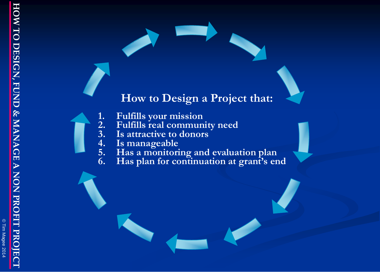## **How to Design a Project that:**

- **1. Fulfills your mission**
- **2. Fulfills real community need 3. Is attractive to donors**
	-
	- **4. Is manageable**
- **5. Has a monitoring and evaluation plan**
- **6. Has plan for continuation at grant's end**

© Tim Magee 2014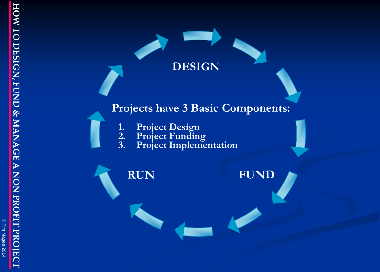© Tim Magee 2014

# **DESIGN**

## **Projects have 3 Basic Components:**

- **1. Project Design**
- **2. Project Funding**
- **3. Project Implementation**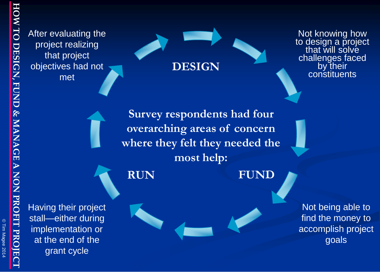© Tim Magee 2014

After evaluating the project realizing that project objectives had not met

**DESIGN**

Not knowing how to design a project that will solve challenges faced by their constituents

**Survey respondents had four overarching areas of concern where they felt they needed the most help:**

**RUN FUND**

Having their project stall—either during implementation or at the end of the grant cycle

Not being able to find the money to accomplish project goals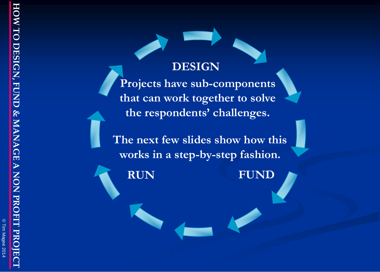## **DESIGN**

**Projects have sub-components that can work together to solve the respondents' challenges.**

**The next few slides show how this works in a step-by-step fashion.**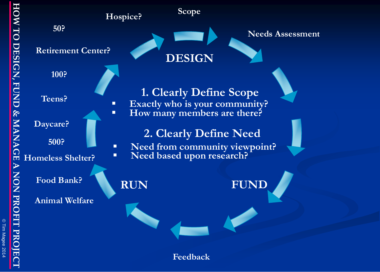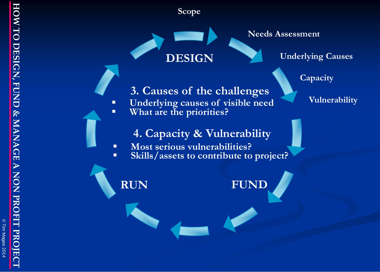© Tim Magee 2014

**Scope**

**DESIGN**

**Needs Assessment**

**Underlying Causes**

**Capacity**

**3. Causes of the challenges**

**Underlying causes of visible need** Vulnerability **What are the priorities?**

**4. Capacity & Vulnerability**

- **Most serious vulnerabilities?**
- **Skills/assets to contribute to project?**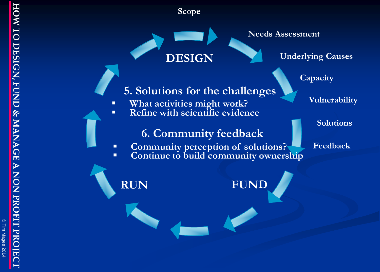© Tim Magee 2014

**Scope**

**DESIGN**

**Needs Assessment**

**Underlying Causes**

**Capacity**

**Vulnerability**

**Solutions**

**Feedback**

**5. Solutions for the challenges**

 **What activities might work? Refine with scientific evidence** 

**6. Community feedback**

- **EXECOMMUNITY perception of solutions?**
- **EXECONTER 12 Continue to build community ownership**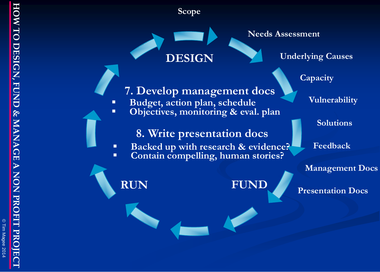© Tim Magee 2014

**Scope**

**DESIGN**

Budget, action plan, schedule

**7. Develop management docs**

**-** Objectives, monitoring & eval. plan

**8. Write presentation docs**

**Backed up with research & evidence?** 

**Needs Assessment**

**Underlying Causes**

**Capacity**

**Vulnerability**

**Solutions**

**Feedback**

**Management Docs**

**Presentation Docs**

**Contain compelling, human stories?**

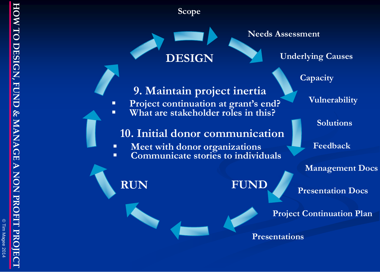© Tim Magee 2014

**Scope**

**DESIGN**

**9. Maintain project inertia**

 **Project continuation at grant's end? What are stakeholder roles in this?** 

**10. Initial donor communication**

**Communicate stories to individuals**

**Meet with donor organizations**

#### **Needs Assessment**

**Underlying Causes**

**Capacity**

**Vulnerability**

**Solutions**

**Feedback**

**Management Docs**

**Presentation Docs**

**Project Continuation Plan** 

**Presentations**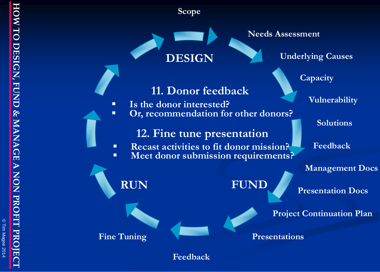© Tim Magee 2014

**Scope**

**DESIGN**

**Is the donor interested?**

**11. Donor feedback**

**12. Fine tune presentation**

**Recast activities to fit donor mission?** 

**Meet donor submission requirements?** 

**Or, recommendation for other donors?**



**Underlying Causes**

**Capacity**

**Vulnerability**

**Solutions**

**Feedback**

**Management Docs**

**Presentation Docs**

**Project Continuation Plan** 

**Presentations**

**Feedback**

**RUN FUND**

**Fine Tuning**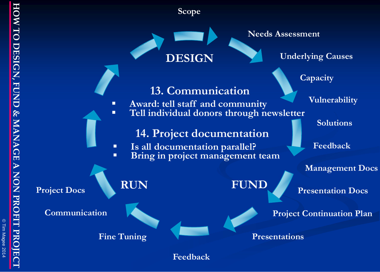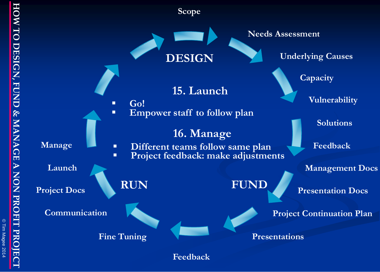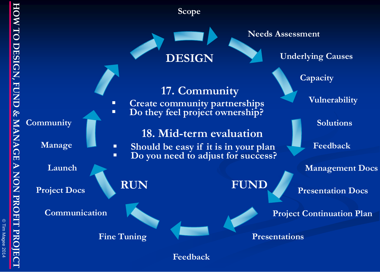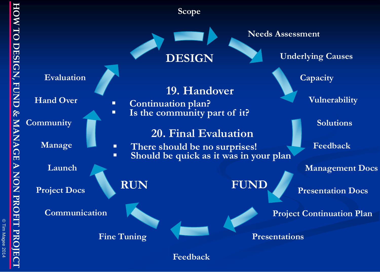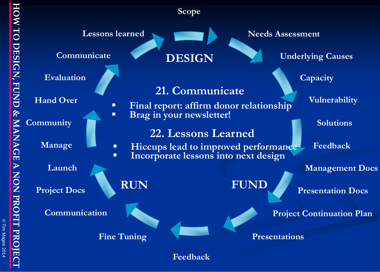© Tim Magee 2014



**Feedback**